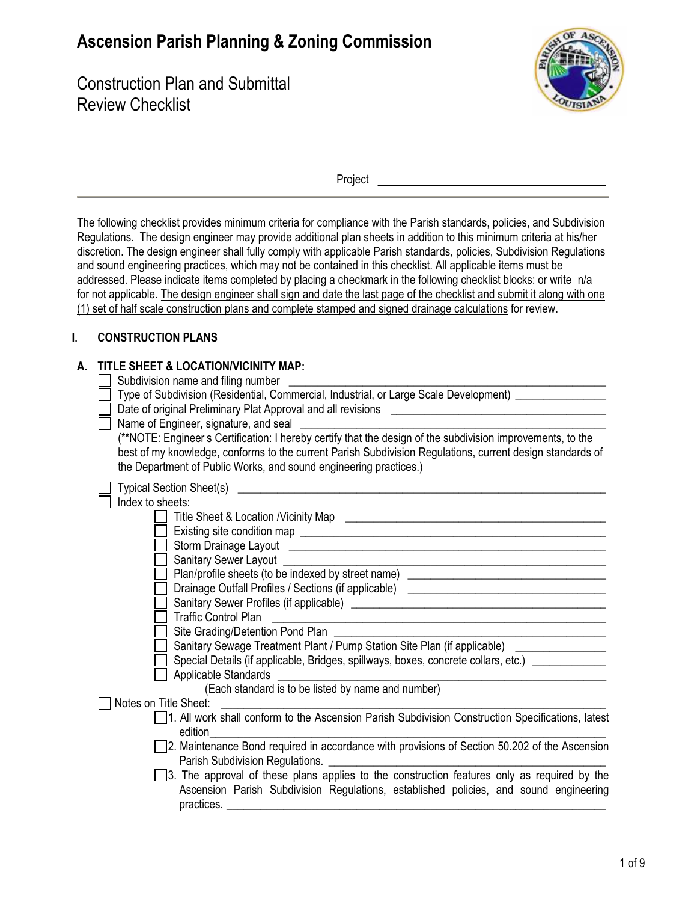## **Ascension Parish Planning & Zoning Commission**

Construction Plan and Submittal Review Checklist



Project

The following checklist provides minimum criteria for compliance with the Parish standards, policies, and Subdivision Regulations. The design engineer may provide additional plan sheets in addition to this minimum criteria at his/her discretion. The design engineer shall fully comply with applicable Parish standards, policies, Subdivision Regulations and sound engineering practices, which may not be contained in this checklist. All applicable items must be addressed. Please indicate items completed by placing a checkmark in the following checklist blocks: or write n/a for not applicable. The design engineer shall sign and date the last page of the checklist and submit it along with one (1) set of half scale construction plans and complete stamped and signed drainage calculations for review.

## I. **CONSTRUCTION PLANS**

## TITI F SHEFT & LOCATION/VICINITY MAP  $\blacktriangle$

| Subdivision name and filing number                                                                                                                                                                                                                                                            |  |  |  |  |  |
|-----------------------------------------------------------------------------------------------------------------------------------------------------------------------------------------------------------------------------------------------------------------------------------------------|--|--|--|--|--|
| Type of Subdivision (Residential, Commercial, Industrial, or Large Scale Development) _____________                                                                                                                                                                                           |  |  |  |  |  |
|                                                                                                                                                                                                                                                                                               |  |  |  |  |  |
|                                                                                                                                                                                                                                                                                               |  |  |  |  |  |
| Name of Engineer, signature, and seal                                                                                                                                                                                                                                                         |  |  |  |  |  |
| (**NOTE: Engineer s Certification: I hereby certify that the design of the subdivision improvements, to the<br>best of my knowledge, conforms to the current Parish Subdivision Regulations, current design standards of<br>the Department of Public Works, and sound engineering practices.) |  |  |  |  |  |
|                                                                                                                                                                                                                                                                                               |  |  |  |  |  |
| Index to sheets:                                                                                                                                                                                                                                                                              |  |  |  |  |  |
|                                                                                                                                                                                                                                                                                               |  |  |  |  |  |
|                                                                                                                                                                                                                                                                                               |  |  |  |  |  |
|                                                                                                                                                                                                                                                                                               |  |  |  |  |  |
|                                                                                                                                                                                                                                                                                               |  |  |  |  |  |
| Plan/profile sheets (to be indexed by street name) _____________________________                                                                                                                                                                                                              |  |  |  |  |  |
| Drainage Outfall Profiles / Sections (if applicable) [2012] [2012] [2012] [2012] [2012] [2012] [2012] [2012] [                                                                                                                                                                                |  |  |  |  |  |
|                                                                                                                                                                                                                                                                                               |  |  |  |  |  |
| <b>Traffic Control Plan</b><br><u> Alexandria de la contrada de la contrada de la contrada de la contrada de la contrada de la contrada de la c</u>                                                                                                                                           |  |  |  |  |  |
| Site Grading/Detention Pond Plan                                                                                                                                                                                                                                                              |  |  |  |  |  |
| Sanitary Sewage Treatment Plant / Pump Station Site Plan (if applicable) ______________                                                                                                                                                                                                       |  |  |  |  |  |
| Special Details (if applicable, Bridges, spillways, boxes, concrete collars, etc.) _____________                                                                                                                                                                                              |  |  |  |  |  |
| <b>Applicable Standards</b><br><u> 1989 - Johann Stoff, deutscher Stoffen und der Stoffen und der Stoffen und der Stoffen und der Stoffen und der</u>                                                                                                                                         |  |  |  |  |  |
| (Each standard is to be listed by name and number)                                                                                                                                                                                                                                            |  |  |  |  |  |
| Notes on Title Sheet:                                                                                                                                                                                                                                                                         |  |  |  |  |  |
| 1. All work shall conform to the Ascension Parish Subdivision Construction Specifications, latest                                                                                                                                                                                             |  |  |  |  |  |
| edition                                                                                                                                                                                                                                                                                       |  |  |  |  |  |
| 2. Maintenance Bond required in accordance with provisions of Section 50.202 of the Ascension                                                                                                                                                                                                 |  |  |  |  |  |
| Parish Subdivision Regulations.                                                                                                                                                                                                                                                               |  |  |  |  |  |
| 3. The approval of these plans applies to the construction features only as required by the                                                                                                                                                                                                   |  |  |  |  |  |
| Ascension Parish Subdivision Regulations, established policies, and sound engineering                                                                                                                                                                                                         |  |  |  |  |  |
| practices.<br><u> 1989 - Johann Stoff, deutscher Stoffen und der Stoffen und der Stoffen und der Stoffen und der Stoffen und der</u>                                                                                                                                                          |  |  |  |  |  |
|                                                                                                                                                                                                                                                                                               |  |  |  |  |  |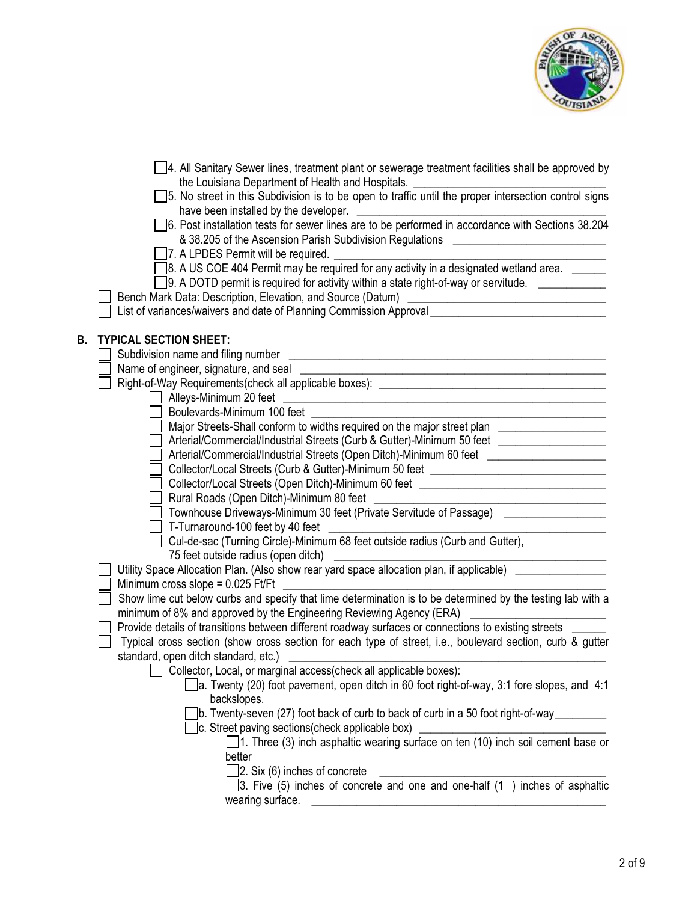

|    | 4. All Sanitary Sewer lines, treatment plant or sewerage treatment facilities shall be approved by                                                                                                                           |
|----|------------------------------------------------------------------------------------------------------------------------------------------------------------------------------------------------------------------------------|
|    | the Louisiana Department of Health and Hospitals.<br>5. No street in this Subdivision is to be open to traffic until the proper intersection control signs<br>have been installed by the developer.                          |
|    | have been installed by the developer.<br>38.204 S. Post installation tests for sewer lines are to be performed in accordance with Sections<br>& 38.205 of the Ascension Parish Subdivision Regulations [1986] 2012 1996 2014 |
|    | 7. A LPDES Permit will be required.                                                                                                                                                                                          |
|    |                                                                                                                                                                                                                              |
|    | 9. A DOTD permit is required for activity within a state right-of-way or servitude. ____________                                                                                                                             |
|    |                                                                                                                                                                                                                              |
|    | List of variances/waivers and date of Planning Commission Approval [1984] [1984] [1984] [1984] [1984] [1984] [                                                                                                               |
| В. | <b>TYPICAL SECTION SHEET:</b>                                                                                                                                                                                                |
|    | Subdivision name and filing number<br><u> Alexandria de la contrada de la contrada de la contrada de la contrada de la contrada de la contrada de la c</u>                                                                   |
|    |                                                                                                                                                                                                                              |
|    |                                                                                                                                                                                                                              |
|    |                                                                                                                                                                                                                              |
|    |                                                                                                                                                                                                                              |
|    | Major Streets-Shall conform to widths required on the major street plan _____________________                                                                                                                                |
|    | Arterial/Commercial/Industrial Streets (Curb & Gutter)-Minimum 50 feet ________________                                                                                                                                      |
|    | Arterial/Commercial/Industrial Streets (Open Ditch)-Minimum 60 feet ___________________                                                                                                                                      |
|    | Collector/Local Streets (Curb & Gutter)-Minimum 50 feet ________________________                                                                                                                                             |
|    | Collector/Local Streets (Open Ditch)-Minimum 60 feet ___________________________                                                                                                                                             |
|    | Rural Roads (Open Ditch)-Minimum 80 feet<br><u> Alexandria de la contrada de la contrada de la contrada de la contrada de la contrada de la contrada de la c</u>                                                             |
|    | Townhouse Driveways-Minimum 30 feet (Private Servitude of Passage) _____________                                                                                                                                             |
|    | T-Turnaround-100 feet by 40 feet                                                                                                                                                                                             |
|    | Cul-de-sac (Turning Circle)-Minimum 68 feet outside radius (Curb and Gutter),                                                                                                                                                |
|    | 75 feet outside radius (open ditch)                                                                                                                                                                                          |
|    | Utility Space Allocation Plan. (Also show rear yard space allocation plan, if applicable) _______________                                                                                                                    |
|    | Minimum cross slope = $0.025$ Ft/Ft $\overline{\phantom{a}}$                                                                                                                                                                 |
|    | Show lime cut below curbs and specify that lime determination is to be determined by the testing lab with a                                                                                                                  |
|    | minimum of 8% and approved by the Engineering Reviewing Agency (ERA)                                                                                                                                                         |
|    | Provide details of transitions between different roadway surfaces or connections to existing streets ___                                                                                                                     |
|    | Typical cross section (show cross section for each type of street, i.e., boulevard section, curb & gutter                                                                                                                    |
|    | standard, open ditch standard, etc.) _________                                                                                                                                                                               |
|    | Collector, Local, or marginal access(check all applicable boxes):                                                                                                                                                            |
|    | $\Box$ a. Twenty (20) foot pavement, open ditch in 60 foot right-of-way, 3:1 fore slopes, and 4:1                                                                                                                            |
|    | backslopes.                                                                                                                                                                                                                  |
|    | Jb. Twenty-seven (27) foot back of curb to back of curb in a 50 foot right-of-way<br>c. Street paving sections (check applicable box)                                                                                        |
|    | 1. Three (3) inch asphaltic wearing surface on ten (10) inch soil cement base or                                                                                                                                             |
|    | better                                                                                                                                                                                                                       |
|    | $\Box$ 2. Six (6) inches of concrete                                                                                                                                                                                         |
|    | 3. Five (5) inches of concrete and one and one-half (1) inches of asphaltic                                                                                                                                                  |
|    | wearing surface.                                                                                                                                                                                                             |
|    |                                                                                                                                                                                                                              |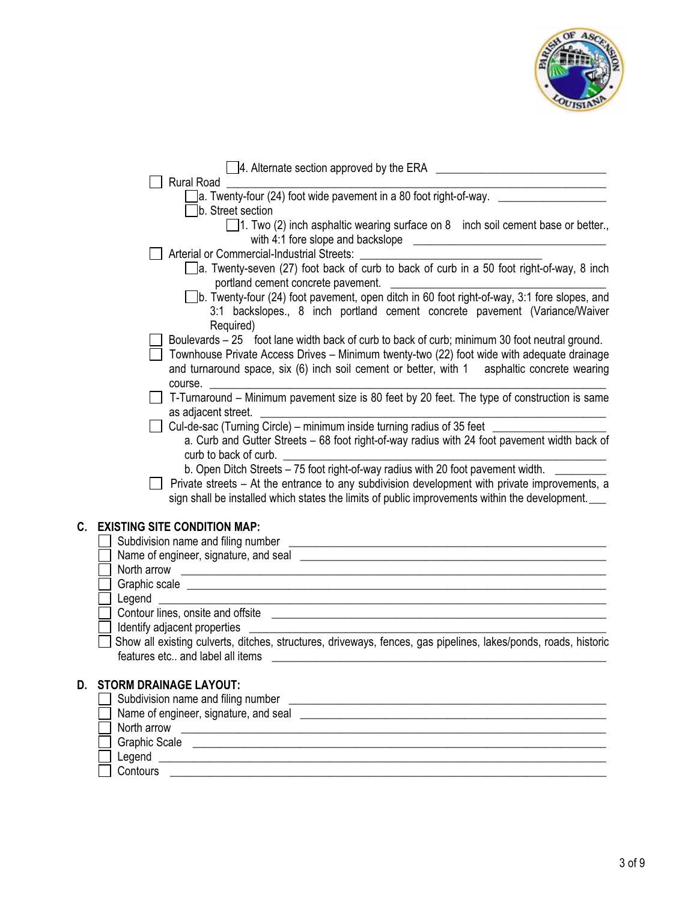

|    | 4. Alternate section approved by the ERA <u>_________________________________</u><br><b>Rural Road</b>                                                                                                                               |
|----|--------------------------------------------------------------------------------------------------------------------------------------------------------------------------------------------------------------------------------------|
|    | ]a. Twenty-four (24) foot wide pavement in a 80 foot right-of-way. $\sqrt{2}$                                                                                                                                                        |
|    | b. Street section                                                                                                                                                                                                                    |
|    | $\Box$ 1. Two (2) inch asphaltic wearing surface on 8 inch soil cement base or better.,                                                                                                                                              |
|    |                                                                                                                                                                                                                                      |
|    | Arterial or Commercial-Industrial Streets:                                                                                                                                                                                           |
|    | a. Twenty-seven (27) foot back of curb to back of curb in a 50 foot right-of-way, 8 inch                                                                                                                                             |
|    | portland cement concrete pavement.                                                                                                                                                                                                   |
|    | b. Twenty-four (24) foot pavement, open ditch in 60 foot right-of-way, 3:1 fore slopes, and                                                                                                                                          |
|    | 3:1 backslopes., 8 inch portland cement concrete pavement (Variance/Waiver                                                                                                                                                           |
|    | Required)                                                                                                                                                                                                                            |
|    | Boulevards - 25 foot lane width back of curb to back of curb; minimum 30 foot neutral ground.                                                                                                                                        |
|    | Townhouse Private Access Drives - Minimum twenty-two (22) foot wide with adequate drainage                                                                                                                                           |
|    | and turnaround space, six (6) inch soil cement or better, with 1 asphaltic concrete wearing                                                                                                                                          |
|    | course. <u>_________________________________</u>                                                                                                                                                                                     |
|    | T-Turnaround - Minimum pavement size is 80 feet by 20 feet. The type of construction is same                                                                                                                                         |
|    | as adjacent street.                                                                                                                                                                                                                  |
|    | Cul-de-sac (Turning Circle) – minimum inside turning radius of 35 feet ____                                                                                                                                                          |
|    | a. Curb and Gutter Streets - 68 foot right-of-way radius with 24 foot pavement width back of<br>curb to back of curb.                                                                                                                |
|    | b. Open Ditch Streets - 75 foot right-of-way radius with 20 foot pavement width.                                                                                                                                                     |
|    | Private streets – At the entrance to any subdivision development with private improvements, a                                                                                                                                        |
|    | sign shall be installed which states the limits of public improvements within the development.                                                                                                                                       |
|    |                                                                                                                                                                                                                                      |
| C. | <b>EXISTING SITE CONDITION MAP:</b>                                                                                                                                                                                                  |
|    |                                                                                                                                                                                                                                      |
|    |                                                                                                                                                                                                                                      |
|    | North arrow <b>contract the contract of the contract of the contract of the contract of the contract of the contract of the contract of the contract of the contract of the contract of the contract of the contract of the cont</b> |
|    |                                                                                                                                                                                                                                      |
|    | Legend<br><u> 1989 - Johann Stoff, amerikansk politiker (d. 1989)</u>                                                                                                                                                                |
|    |                                                                                                                                                                                                                                      |
|    | Identify adjacent properties                                                                                                                                                                                                         |
|    | Show all existing culverts, ditches, structures, driveways, fences, gas pipelines, lakes/ponds, roads, historic                                                                                                                      |
|    | features etc and label all items                                                                                                                                                                                                     |
| D. | <b>STORM DRAINAGE LAYOUT:</b>                                                                                                                                                                                                        |
|    |                                                                                                                                                                                                                                      |
|    | Name of engineer, signature, and seal seal services are set of the seal of the seal of the seal of the seal of                                                                                                                       |
|    | North arrow <b>contract the contract of the contract of the contract of the contract of the contract of the contract of the contract of the contract of the contract of the contract of the contract of the contract of the cont</b> |
|    |                                                                                                                                                                                                                                      |
|    |                                                                                                                                                                                                                                      |
|    | Contours                                                                                                                                                                                                                             |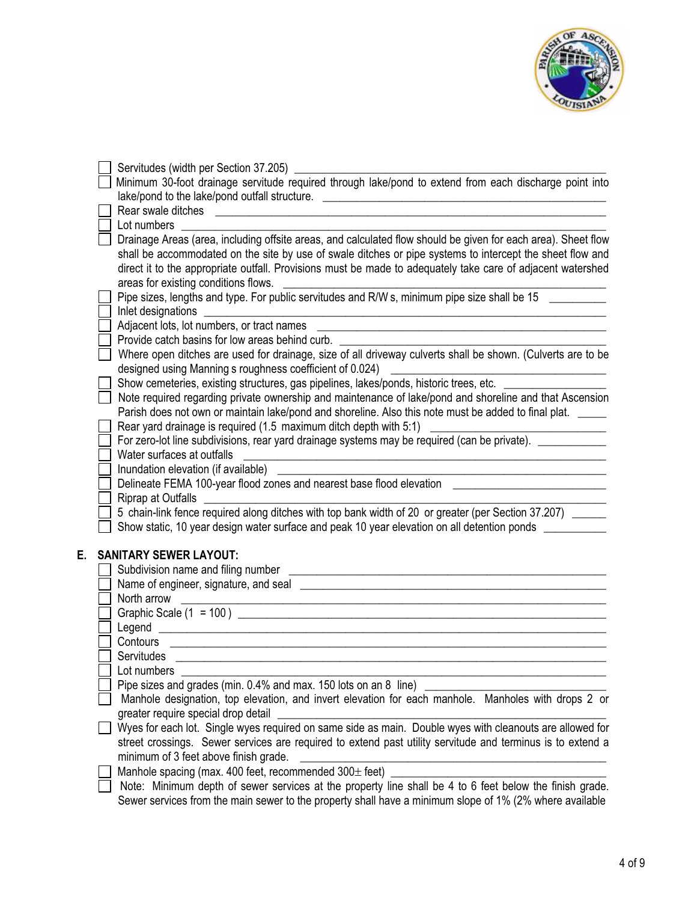

|    | Servitudes (width per Section 37.205) _______                                                                                                                                                                                                                                                                                                                                     |
|----|-----------------------------------------------------------------------------------------------------------------------------------------------------------------------------------------------------------------------------------------------------------------------------------------------------------------------------------------------------------------------------------|
|    | Minimum 30-foot drainage servitude required through lake/pond to extend from each discharge point into                                                                                                                                                                                                                                                                            |
|    |                                                                                                                                                                                                                                                                                                                                                                                   |
|    |                                                                                                                                                                                                                                                                                                                                                                                   |
|    | Lot numbers                                                                                                                                                                                                                                                                                                                                                                       |
|    | Drainage Areas (area, including offsite areas, and calculated flow should be given for each area). Sheet flow<br>shall be accommodated on the site by use of swale ditches or pipe systems to intercept the sheet flow and<br>direct it to the appropriate outfall. Provisions must be made to adequately take care of adjacent watershed<br>areas for existing conditions flows. |
|    | Pipe sizes, lengths and type. For public servitudes and R/W s, minimum pipe size shall be 15 ______                                                                                                                                                                                                                                                                               |
|    |                                                                                                                                                                                                                                                                                                                                                                                   |
|    |                                                                                                                                                                                                                                                                                                                                                                                   |
|    | Provide catch basins for low areas behind curb.                                                                                                                                                                                                                                                                                                                                   |
|    | Where open ditches are used for drainage, size of all driveway culverts shall be shown. (Culverts are to be<br>designed using Manning s roughness coefficient of 0.024)                                                                                                                                                                                                           |
|    | Show cemeteries, existing structures, gas pipelines, lakes/ponds, historic trees, etc. ____________                                                                                                                                                                                                                                                                               |
|    | Note required regarding private ownership and maintenance of lake/pond and shoreline and that Ascension                                                                                                                                                                                                                                                                           |
|    | Parish does not own or maintain lake/pond and shoreline. Also this note must be added to final plat.                                                                                                                                                                                                                                                                              |
|    | Rear yard drainage is required (1.5 maximum ditch depth with 5:1)                                                                                                                                                                                                                                                                                                                 |
|    | For zero-lot line subdivisions, rear yard drainage systems may be required (can be private).                                                                                                                                                                                                                                                                                      |
|    | Water surfaces at outfalls                                                                                                                                                                                                                                                                                                                                                        |
|    | Inundation elevation (if available)                                                                                                                                                                                                                                                                                                                                               |
|    | Delineate FEMA 100-year flood zones and nearest base flood elevation                                                                                                                                                                                                                                                                                                              |
|    | Riprap at Outfalls                                                                                                                                                                                                                                                                                                                                                                |
|    | 5 chain-link fence required along ditches with top bank width of 20 or greater (per Section 37.207) _____                                                                                                                                                                                                                                                                         |
|    | Show static, 10 year design water surface and peak 10 year elevation on all detention ponds ________                                                                                                                                                                                                                                                                              |
| E. | <b>SANITARY SEWER LAYOUT:</b>                                                                                                                                                                                                                                                                                                                                                     |
|    | Subdivision name and filing number                                                                                                                                                                                                                                                                                                                                                |
|    |                                                                                                                                                                                                                                                                                                                                                                                   |
|    | North arrow<br><u> 1989 - Jan Samuel Barbara, margaret eta idazlea (h. 1989).</u>                                                                                                                                                                                                                                                                                                 |
|    | Graphic Scale $(1 = 100)$                                                                                                                                                                                                                                                                                                                                                         |
|    |                                                                                                                                                                                                                                                                                                                                                                                   |
|    | Contours                                                                                                                                                                                                                                                                                                                                                                          |
|    | <b>Servitudes</b>                                                                                                                                                                                                                                                                                                                                                                 |
|    | Lot numbers                                                                                                                                                                                                                                                                                                                                                                       |
|    | Pipe sizes and grades (min. 0.4% and max. 150 lots on an 8 line)                                                                                                                                                                                                                                                                                                                  |
|    | Manhole designation, top elevation, and invert elevation for each manhole. Manholes with drops 2 or<br>greater require special drop detail                                                                                                                                                                                                                                        |
|    | Wyes for each lot. Single wyes required on same side as main. Double wyes with cleanouts are allowed for                                                                                                                                                                                                                                                                          |
|    | street crossings. Sewer services are required to extend past utility servitude and terminus is to extend a<br>minimum of 3 feet above finish grade.                                                                                                                                                                                                                               |
|    | Manhole spacing (max. 400 feet, recommended 300± feet)                                                                                                                                                                                                                                                                                                                            |
|    | Note: Minimum depth of sewer services at the property line shall be 4 to 6 feet below the finish grade.                                                                                                                                                                                                                                                                           |
|    | Sewer services from the main sewer to the property shall have a minimum slope of 1% (2% where available                                                                                                                                                                                                                                                                           |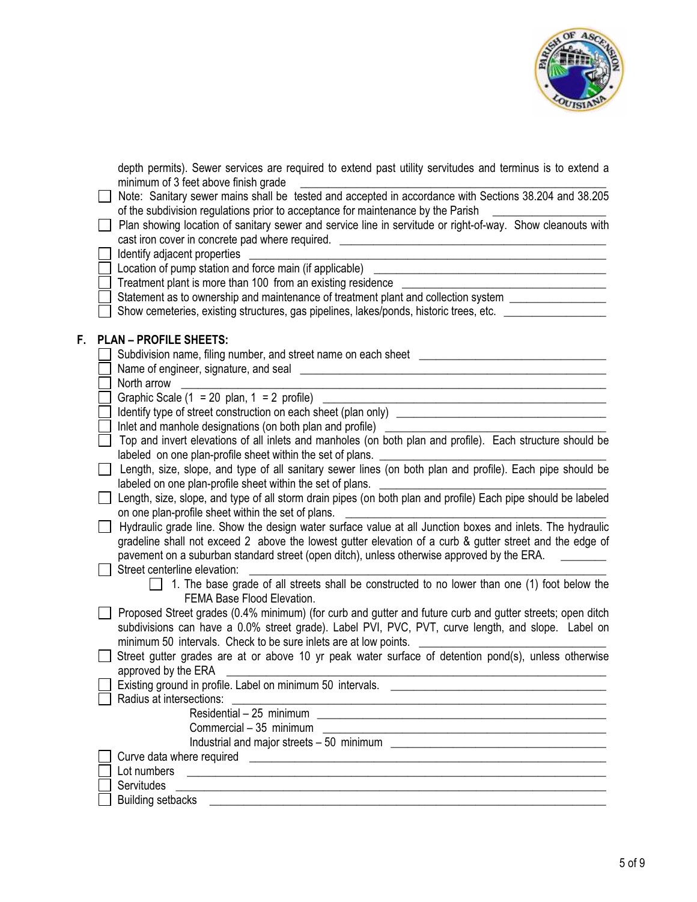

depth permits). Sewer services are required to extend past utility servitudes and terminus is to extend a minimum of 3 feet above finish grade

|  |  |  | Note: Sanitary sewer mains shall be tested and accepted in accordance with Sections 38.204 and 38.205 |  |  |
|--|--|--|-------------------------------------------------------------------------------------------------------|--|--|
|  |  |  | of the subdivision regulations prior to acceptance for maintenance by the Parish                      |  |  |

| Plan showing location of sanitary sewer and service line in servitude or right-of-way. Show cleanouts with |  |  |  |  |  |
|------------------------------------------------------------------------------------------------------------|--|--|--|--|--|
| cast iron cover in concrete pad where required.                                                            |  |  |  |  |  |
|                                                                                                            |  |  |  |  |  |

|    | Identify adjacent properties                                                                                                                                                                                                                                    |
|----|-----------------------------------------------------------------------------------------------------------------------------------------------------------------------------------------------------------------------------------------------------------------|
|    | Location of pump station and force main (if applicable)                                                                                                                                                                                                         |
|    | Treatment plant is more than 100 from an existing residence ___                                                                                                                                                                                                 |
|    | Statement as to ownership and maintenance of treatment plant and collection system ________________                                                                                                                                                             |
|    | Show cemeteries, existing structures, gas pipelines, lakes/ponds, historic trees, etc. _____________                                                                                                                                                            |
|    |                                                                                                                                                                                                                                                                 |
| F. | <b>PLAN - PROFILE SHEETS:</b>                                                                                                                                                                                                                                   |
|    |                                                                                                                                                                                                                                                                 |
|    |                                                                                                                                                                                                                                                                 |
|    | North arrow                                                                                                                                                                                                                                                     |
|    | Graphic Scale (1 = 20 plan, 1 = 2 profile)                                                                                                                                                                                                                      |
|    |                                                                                                                                                                                                                                                                 |
|    | Inlet and manhole designations (on both plan and profile)                                                                                                                                                                                                       |
|    | Top and invert elevations of all inlets and manholes (on both plan and profile). Each structure should be                                                                                                                                                       |
|    | labeled on one plan-profile sheet within the set of plans.                                                                                                                                                                                                      |
|    | Length, size, slope, and type of all sanitary sewer lines (on both plan and profile). Each pipe should be                                                                                                                                                       |
|    | labeled on one plan-profile sheet within the set of plans.                                                                                                                                                                                                      |
|    | Length, size, slope, and type of all storm drain pipes (on both plan and profile) Each pipe should be labeled                                                                                                                                                   |
|    | on one plan-profile sheet within the set of plans.                                                                                                                                                                                                              |
|    | Hydraulic grade line. Show the design water surface value at all Junction boxes and inlets. The hydraulic                                                                                                                                                       |
|    | gradeline shall not exceed 2 above the lowest gutter elevation of a curb & gutter street and the edge of                                                                                                                                                        |
|    | pavement on a suburban standard street (open ditch), unless otherwise approved by the ERA.                                                                                                                                                                      |
|    | Street centerline elevation:                                                                                                                                                                                                                                    |
|    | 1. The base grade of all streets shall be constructed to no lower than one (1) foot below the                                                                                                                                                                   |
|    | FEMA Base Flood Elevation.                                                                                                                                                                                                                                      |
|    | Proposed Street grades (0.4% minimum) (for curb and gutter and future curb and gutter streets; open ditch                                                                                                                                                       |
|    | subdivisions can have a 0.0% street grade). Label PVI, PVC, PVT, curve length, and slope. Label on                                                                                                                                                              |
|    | minimum 50 intervals. Check to be sure inlets are at low points.                                                                                                                                                                                                |
|    | Street gutter grades are at or above 10 yr peak water surface of detention pond(s), unless otherwise                                                                                                                                                            |
|    | approved by the ERA                                                                                                                                                                                                                                             |
|    | Existing ground in profile. Label on minimum 50 intervals. _____________________                                                                                                                                                                                |
|    | Radius at intersections:                                                                                                                                                                                                                                        |
|    |                                                                                                                                                                                                                                                                 |
|    | Commercial - 35 minimum<br><u> 1989 - Andrea State Barbara, amerikan personal dan personal dan personal dan personal dan personal dan personal dan personal dan personal dan personal dan personal dan personal dan personal dan personal dan personal dan </u> |
|    |                                                                                                                                                                                                                                                                 |
|    | Curve data where required                                                                                                                                                                                                                                       |
|    | Lot numbers                                                                                                                                                                                                                                                     |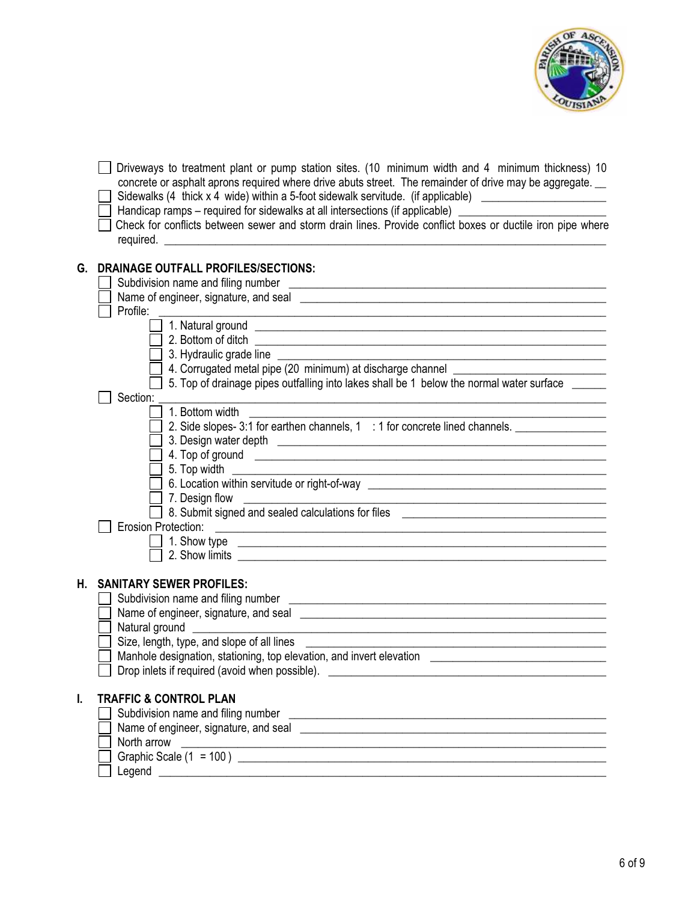

|    | Driveways to treatment plant or pump station sites. (10 minimum width and 4 minimum thickness) 10<br>concrete or asphalt aprons required where drive abuts street. The remainder of drive may be aggregate.<br>Sidewalks (4 thick x 4 wide) within a 5-foot sidewalk servitude. (if applicable) __________________<br>Handicap ramps – required for sidewalks at all intersections (if applicable) __________<br>Check for conflicts between sewer and storm drain lines. Provide conflict boxes or ductile iron pipe where                                                                                                                                                                                                     |
|----|---------------------------------------------------------------------------------------------------------------------------------------------------------------------------------------------------------------------------------------------------------------------------------------------------------------------------------------------------------------------------------------------------------------------------------------------------------------------------------------------------------------------------------------------------------------------------------------------------------------------------------------------------------------------------------------------------------------------------------|
| G. | <b>DRAINAGE OUTFALL PROFILES/SECTIONS:</b><br>Profile:                                                                                                                                                                                                                                                                                                                                                                                                                                                                                                                                                                                                                                                                          |
|    | 4. Corrugated metal pipe (20 minimum) at discharge channel _____________________                                                                                                                                                                                                                                                                                                                                                                                                                                                                                                                                                                                                                                                |
|    | 5. Top of drainage pipes outfalling into lakes shall be 1 below the normal water surface<br>Section:                                                                                                                                                                                                                                                                                                                                                                                                                                                                                                                                                                                                                            |
|    | 1. Bottom width<br>2. Side slopes-3:1 for earthen channels, 1 : 1 for concrete lined channels. ________________________<br>4. Top of ground <u>example and contract and contract and contract and contract and contract and contract and contract of the set of the set of the set of the set of the set of the set of the set of the set of the set of the</u><br>5. Top width<br>6. Location within servitude or right-of-way ___________________________________<br>7. Design flow<br><u> 2000 - Jan James James Jan James James Jan James James James James James James James James James James James</u><br>8. Submit signed and sealed calculations for files _____________________________<br><b>Erosion Protection:</b> |
|    |                                                                                                                                                                                                                                                                                                                                                                                                                                                                                                                                                                                                                                                                                                                                 |
| Н. | <b>SANITARY SEWER PROFILES:</b><br>Name of engineer, signature, and seal engineers are all the state of engineers and seal of engineers and seal of the state of the state of the state of the state of the state of the state of the state of the state of the s<br>Size, length, type, and slope of all lines<br><u> 1989 - Johann Stoff, amerikansk politiker (d. 1989)</u><br>Manhole designation, stationing, top elevation, and invert elevation<br>Drop inlets if required (avoid when possible).                                                                                                                                                                                                                        |
| I. | <b>TRAFFIC &amp; CONTROL PLAN</b><br>Subdivision name and filing number<br><u> 1989 - Johann Harry Harry Harry Harry Harry Harry Harry Harry Harry Harry Harry Harry Harry Harry Harry Harry</u><br>North arrow                                                                                                                                                                                                                                                                                                                                                                                                                                                                                                                 |
|    |                                                                                                                                                                                                                                                                                                                                                                                                                                                                                                                                                                                                                                                                                                                                 |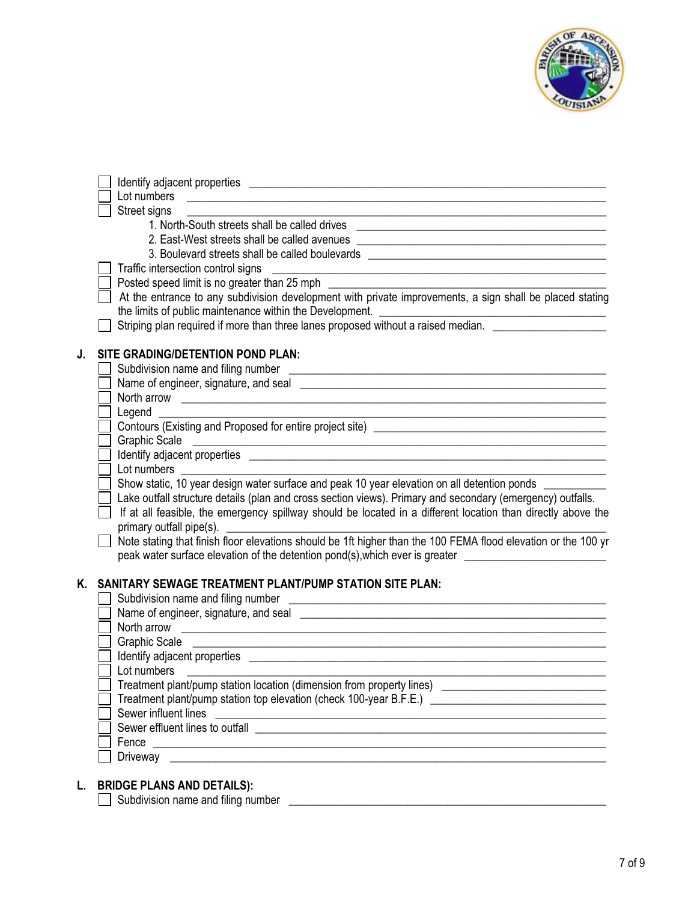

|    | Street signs                                                                                                                                                                                                                         |
|----|--------------------------------------------------------------------------------------------------------------------------------------------------------------------------------------------------------------------------------------|
|    | 1. North-South streets shall be called drives __________________________________                                                                                                                                                     |
|    | 2. East-West streets shall be called avenues ___________________________________                                                                                                                                                     |
|    | 3. Boulevard streets shall be called boulevards ________________________________                                                                                                                                                     |
|    | Traffic intersection control signs                                                                                                                                                                                                   |
|    |                                                                                                                                                                                                                                      |
|    | At the entrance to any subdivision development with private improvements, a sign shall be placed stating                                                                                                                             |
|    | the limits of public maintenance within the Development.                                                                                                                                                                             |
|    | Striping plan required if more than three lanes proposed without a raised median.                                                                                                                                                    |
| J. | SITE GRADING/DETENTION POND PLAN:                                                                                                                                                                                                    |
|    | Subdivision name and filing number                                                                                                                                                                                                   |
|    |                                                                                                                                                                                                                                      |
|    | North arrow <b>contract the contract of the contract of the contract of the contract of the contract of the contract of the contract of the contract of the contract of the contract of the contract of the contract of the cont</b> |
|    |                                                                                                                                                                                                                                      |
|    | Legend<br>Contours (Existing and Proposed for entire project site)<br><u>Contours</u>                                                                                                                                                |
|    | <b>Graphic Scale</b>                                                                                                                                                                                                                 |
|    |                                                                                                                                                                                                                                      |
|    | Lot numbers<br><u> Termin al III de la provincia de la provincia de la provincia de la provincia de la provincia de la provincia</u>                                                                                                 |
|    | Show static, 10 year design water surface and peak 10 year elevation on all detention ponds ________                                                                                                                                 |
|    | Lake outfall structure details (plan and cross section views). Primary and secondary (emergency) outfalls.                                                                                                                           |
|    | If at all feasible, the emergency spillway should be located in a different location than directly above the                                                                                                                         |
|    | primary outfall pipe(s).                                                                                                                                                                                                             |
|    | Note stating that finish floor elevations should be 1ft higher than the 100 FEMA flood elevation or the 100 yr                                                                                                                       |
|    | peak water surface elevation of the detention pond(s), which ever is greater <u>entitled</u>                                                                                                                                         |
|    |                                                                                                                                                                                                                                      |
| Κ. | <b>SANITARY SEWAGE TREATMENT PLANT/PUMP STATION SITE PLAN:</b>                                                                                                                                                                       |
|    |                                                                                                                                                                                                                                      |
|    |                                                                                                                                                                                                                                      |
|    | North arrow                                                                                                                                                                                                                          |
|    | Graphic Scale _____<br><u> 1989 - Johann John Stone, mensk politik foar de fan it fan it fan it fan it fan it fan it fan it fan it fan i</u>                                                                                         |
|    |                                                                                                                                                                                                                                      |
|    | Lot numbers                                                                                                                                                                                                                          |
|    | Treatment plant/pump station location (dimension from property lines) [1994] Treatment plant/pump station location (dimension from property lines)                                                                                   |
|    | Treatment plant/pump station top elevation (check 100-year B.F.E.) ________________________________                                                                                                                                  |
|    | Sewer influent lines                                                                                                                                                                                                                 |
|    | Sewer effluent lines to outfall example and the set of the set of the set of the set of the set of the set of the set of the set of the set of the set of the set of the set of the set of the set of the set of the set of th       |
|    |                                                                                                                                                                                                                                      |
|    |                                                                                                                                                                                                                                      |
|    |                                                                                                                                                                                                                                      |
|    | <b>BRIDGE PLANS AND DETAILS):</b>                                                                                                                                                                                                    |

**L. BRIDGE PLANS AND DETAILS):** Subdivision name and filing number \_\_\_\_\_\_\_\_\_\_\_\_\_\_\_\_\_\_\_\_\_\_\_\_\_\_\_\_\_\_\_\_\_\_\_\_\_\_\_\_\_\_\_\_\_\_\_\_\_\_\_\_\_\_\_\_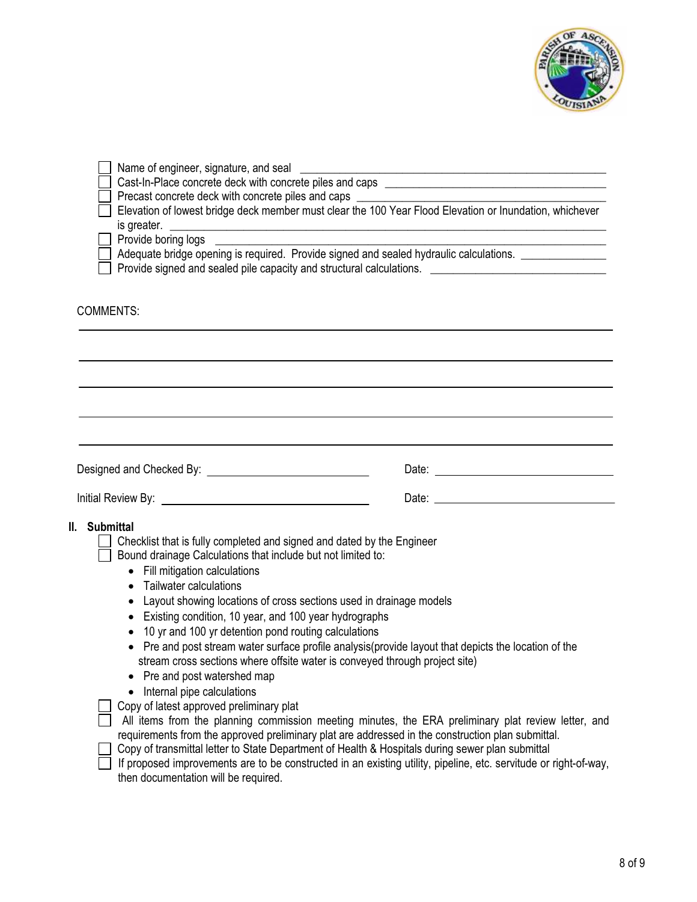

| Elevation of lowest bridge deck member must clear the 100 Year Flood Elevation or Inundation, whichever<br>Adequate bridge opening is required. Provide signed and sealed hydraulic calculations. _____________<br>Provide signed and sealed pile capacity and structural calculations. ______________________________                                                                                                                                                                                                                                                                                                                                                                                                                                                                                                                                                                                                                                                                                                                                                                                                                                                                                                |  |  |  |  |  |
|-----------------------------------------------------------------------------------------------------------------------------------------------------------------------------------------------------------------------------------------------------------------------------------------------------------------------------------------------------------------------------------------------------------------------------------------------------------------------------------------------------------------------------------------------------------------------------------------------------------------------------------------------------------------------------------------------------------------------------------------------------------------------------------------------------------------------------------------------------------------------------------------------------------------------------------------------------------------------------------------------------------------------------------------------------------------------------------------------------------------------------------------------------------------------------------------------------------------------|--|--|--|--|--|
| <b>COMMENTS:</b>                                                                                                                                                                                                                                                                                                                                                                                                                                                                                                                                                                                                                                                                                                                                                                                                                                                                                                                                                                                                                                                                                                                                                                                                      |  |  |  |  |  |
|                                                                                                                                                                                                                                                                                                                                                                                                                                                                                                                                                                                                                                                                                                                                                                                                                                                                                                                                                                                                                                                                                                                                                                                                                       |  |  |  |  |  |
|                                                                                                                                                                                                                                                                                                                                                                                                                                                                                                                                                                                                                                                                                                                                                                                                                                                                                                                                                                                                                                                                                                                                                                                                                       |  |  |  |  |  |
| II. Submittal<br>Checklist that is fully completed and signed and dated by the Engineer<br>Bound drainage Calculations that include but not limited to:<br>• Fill mitigation calculations<br>Tailwater calculations<br>$\bullet$<br>Layout showing locations of cross sections used in drainage models<br>Existing condition, 10 year, and 100 year hydrographs<br>٠<br>10 yr and 100 yr detention pond routing calculations<br>$\bullet$<br>• Pre and post stream water surface profile analysis (provide layout that depicts the location of the<br>stream cross sections where offsite water is conveyed through project site)<br>Pre and post watershed map<br>Internal pipe calculations<br>Copy of latest approved preliminary plat<br>All items from the planning commission meeting minutes, the ERA preliminary plat review letter, and<br>requirements from the approved preliminary plat are addressed in the construction plan submittal.<br>Copy of transmittal letter to State Department of Health & Hospitals during sewer plan submittal<br>If proposed improvements are to be constructed in an existing utility, pipeline, etc. servitude or right-of-way,<br>then documentation will be required. |  |  |  |  |  |